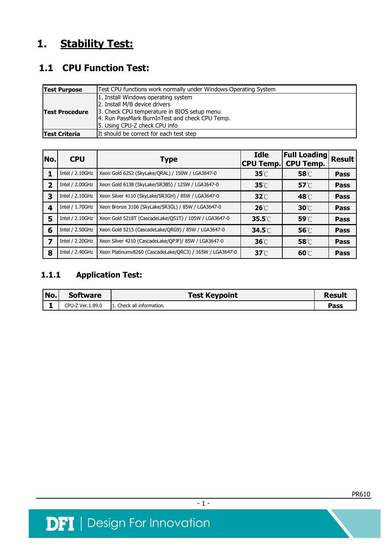# **1. Stability Test:**

## **1.1 CPU Function Test:**

| <b>Test Purpose</b>                                             | Test CPU functions work normally under Windows Operating System                                                                                                                                        |  |  |  |  |
|-----------------------------------------------------------------|--------------------------------------------------------------------------------------------------------------------------------------------------------------------------------------------------------|--|--|--|--|
| <b>Test Procedure</b>                                           | 1. Install Windows operating system<br>2. Install M/B device drivers<br>3. Check CPU temperature in BIOS setup menu<br>4. Run PassMark BurnInTest and check CPU Temp.<br>5. Using CPU-Z check CPU info |  |  |  |  |
| It should be correct for each test step<br><b>Test Criteria</b> |                                                                                                                                                                                                        |  |  |  |  |

| No.            | <b>CPU</b>      | <b>Type</b>                                              | <b>Idle</b><br><b>CPU Temp.</b> | <b>Full Loading</b><br><b>CPU Temp.</b> | <b>Result</b> |
|----------------|-----------------|----------------------------------------------------------|---------------------------------|-----------------------------------------|---------------|
|                | Intel / 2.10GHz | Xeon Gold 6252 (SkyLake/QRAL) / 150W / LGA3647-0         | $35^\circ\!\mathrm{C}$          | 58°C                                    | <b>Pass</b>   |
| $\overline{2}$ | Intel / 2.00GHz | Xeon Gold 6138 (SkyLake/SR3B5) / 125W / LGA3647-0        | $35^\circ\!\mathrm{C}$          | $57^\circ\text{C}$                      | <b>Pass</b>   |
| 3              | Intel / 2.10GHz | Xeon Silver 4110 (SkyLake/SR3GH) / 85W / LGA3647-0       | $32^\circ$                      | 48℃                                     | <b>Pass</b>   |
| 4              | Intel / 1.70GHz | Xeon Bronze 3106 (SkyLake/SR3GL) / 85W / LGA3647-0       | $26^\circ$                      | $30^{\circ}$                            | <b>Pass</b>   |
| 5              | Intel / 2.10GHz | Xeon Gold 5218T (CascadeLake/QS1T) / 105W / LGA3647-0    | $35.5^{\circ}$                  | 59°C                                    | <b>Pass</b>   |
| 6              | Intel / 2.50GHz | Xeon Gold 5215 (CascadeLake/QRG9) / 85W / LGA3647-0      | $34.5^\circ\text{C}$            | 56°C                                    | <b>Pass</b>   |
|                | Intel / 2.20GHz | Xeon Silver 4210 (CascadeLake/OPJF)/ 85W / LGA3647-0     |                                 | 58°C                                    | <b>Pass</b>   |
| 8              | Intel / 2.40GHz | Xeon Platinumv8260 (CascadeLake/QRC3) / 165W / LGA3647-0 | $37^\circ\text{C}$              | $60^{\circ}$                            | Pass          |

### **1.1.1 Application Test:**

| No. | <b>Software</b>  | <b>Test Keypoint</b>     | Result |
|-----|------------------|--------------------------|--------|
|     | CPU-Z Ver.1.89.0 | . Check all information. | Pass   |

 $-1 -$ 

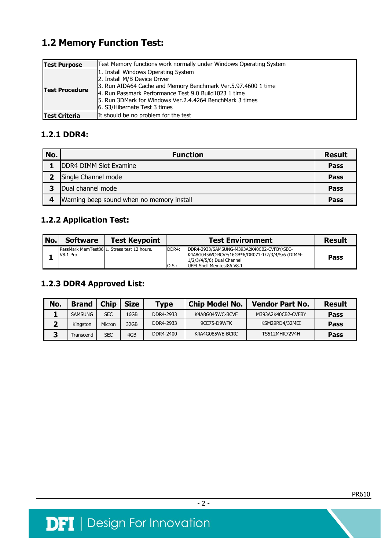## **1.2 Memory Function Test:**

| <b>Test Purpose</b>   | Test Memory functions work normally under Windows Operating System                                                                                                                                                                                                                          |  |  |  |
|-----------------------|---------------------------------------------------------------------------------------------------------------------------------------------------------------------------------------------------------------------------------------------------------------------------------------------|--|--|--|
| <b>Test Procedure</b> | 1. Install Windows Operating System<br>2. Install M/B Device Driver<br>3. Run AIDA64 Cache and Memory Benchmark Ver.5.97.4600 1 time<br>14. Run Passmark Performance Test 9.0 Build1023 1 time<br>15. Run 3DMark for Windows Ver.2.4.4264 BenchMark 3 times<br>6. S3/Hibernate Test 3 times |  |  |  |
| <b>Test Criteria</b>  | It should be no problem for the test                                                                                                                                                                                                                                                        |  |  |  |

#### **1.2.1 DDR4:**

| No. | <b>Function</b>                           | <b>Result</b> |
|-----|-------------------------------------------|---------------|
|     | DDR4 DIMM Slot Examine                    | <b>Pass</b>   |
|     | Single Channel mode                       | <b>Pass</b>   |
| 3   | Dual channel mode                         | <b>Pass</b>   |
| 4   | Warning beep sound when no memory install | Pass          |

#### **1.2.2 Application Test:**

| No. | <b>Software</b> | <b>Test Keypoint</b>                        |                   | <b>Test Environment</b>                                                                                                                                | <b>Result</b> |
|-----|-----------------|---------------------------------------------|-------------------|--------------------------------------------------------------------------------------------------------------------------------------------------------|---------------|
|     | V8.1 Pro        | PassMark MemTest8611. Stress test 12 hours. | DDR4:<br>$0.5$ .: | DDR4-2933/SAMSUNG-M393A2K40CB2-CVFBY/SEC-<br>K4A8G045WC-BCVF/16GB*6/DR071-1/2/3/4/5/6 (DIMM-<br>1/2/3/4/5/6) Dual Channel<br>UEFI Shell Memtest86 V8.1 | Pass          |

### **1.2.3 DDR4 Approved List:**

| No. | <b>Brand</b>   | <b>Chip</b> | <b>Size</b> | <b>Type</b> | <b>Chip Model No.</b> | <b>Vendor Part No.</b> | <b>Result</b> |
|-----|----------------|-------------|-------------|-------------|-----------------------|------------------------|---------------|
|     | <b>SAMSUNG</b> | SEC         | 16GB        | DDR4-2933   | K4A8G045WC-BCVF       | M393A2K40CB2-CVFBY     | Pass          |
|     | Kingston       | Micron      | 32GB        | DDR4-2933   | 9CE75-D9WFK           | KSM29RD4/32MEI         | Pass          |
|     | Transcend      | SEC         | 4GB         | DDR4-2400   | K4A4G085WE-BCRC       | <b>TS512MHR72V4H</b>   | Pass          |

- 2 -

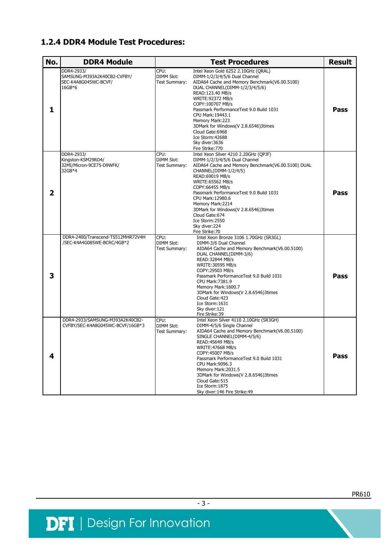#### **1.2.4 DDR4 Module Test Procedures:**

| No. | <b>DDR4 Module</b>                                                          | <b>Test Procedures</b>                                                                                                                                                                                                                                                                                                                                                                                                                                                       | <b>Result</b> |
|-----|-----------------------------------------------------------------------------|------------------------------------------------------------------------------------------------------------------------------------------------------------------------------------------------------------------------------------------------------------------------------------------------------------------------------------------------------------------------------------------------------------------------------------------------------------------------------|---------------|
| 1   | DDR4-2933/<br>SAMSUNG-M393A2K40CB2-CVFBY/<br>SEC-K4A8G045WC-BCVF/<br>16GB*6 | CPU:<br>Intel Xeon Gold 6252 2.10GHz (QRAL)<br><b>DIMM Slot:</b><br>DIMM-1/2/3/4/5/6 Dual Channel<br>Test Summary:<br>AIDA64 Cache and Memory Benchmark(V6.00.5100)<br>DUAL CHANNEL(DIMM-1/2/3/4/5/6)<br>READ:123.40 MB/s<br>WRITE: 92372 MB/s<br>COPY:100707 MB/s<br>Passmark PerformanceTest 9.0 Build 1031<br>CPU Mark: 19443.1<br>Memory Mark:223<br>3DMark for Windows(V 2.8.6546)3times<br>Cloud Gate: 6968<br>Ice Storm: 42688<br>Sky diver: 3636<br>Fire Strike: 770 | <b>Pass</b>   |
| 2   | DDR4-2933/<br>Kingston-KSM29RD4/<br>32MI/Micron-9CE75-D9WFK/<br>32GB*4      | CPU:<br>Intel Xeon Silver 4210 2.20GHz (OPJF)<br><b>DIMM Slot:</b><br>DIMM-1/2/3/4/5/6 Dual Channel<br>Test Summary:<br>AIDA64 Cache and Memory Benchmark(V6.00.5100) DUAL<br>CHANNEL(DIMM-1/2/4/5)<br>READ:69019 MB/s<br>WRITE: 65562 MB/s<br>COPY:66455 MB/s<br>Passmark PerformanceTest 9.0 Build 1031<br>CPU Mark: 12980.6<br>Memory Mark:2214<br>3DMark for Windows(V 2.8.6546)3times<br>Cloud Gate: 674<br>Ice Storm:2550<br>Sky diver:224<br>Fire Strike: 70          | <b>Pass</b>   |
| 3   | DDR4-2400/Transcend-TS512MHR72V4H<br>/SEC-K4A4G085WE-BCRC/4GB*2             | CPU:<br>Intel Xeon Bronze 3106 1.70GHz (SR3GL)<br><b>DIMM Slot:</b><br>DIMM-3/6 Dual Channel<br>AIDA64 Cache and Memory Benchmark(V6.00.5100)<br>Test Summary:<br>DUAL CHANNEL(DIMM-3/6)<br>READ: 32844 MB/s<br>WRITE: 30595 MB/s<br>COPY:29503 MB/s<br>Passmark PerformanceTest 9.0 Build 1031<br>CPU Mark: 7381.9<br>Memory Mark: 1600.7<br>3DMark for Windows(V 2.8.6546)3times<br>Cloud Gate: 423<br>Ice Storm: 1631<br>Sky diver: 121<br>Fire Strike: 39                | <b>Pass</b>   |
| 4   | DDR4-2933/SAMSUNG-M393A2K40CB2-<br>CVFBY/SEC-K4A8G045WC-BCVF/16GB*3         | Intel Xeon Silver 4110 2.10GHz (SR3GH)<br>CPU:<br>DIMM-4/5/6 Single Channel<br>DIMM Slot:<br>AIDA64 Cache and Memory Benchmark(V6.00.5100)<br>Test Summary:<br>SINGLE CHANNEL(DIMM-4/5/6)<br>READ: 45649 MB/s<br>WRITE: 47668 MB/s<br>COPY:45007 MB/s<br>Passmark PerformanceTest 9.0 Build 1031<br>CPU Mark: 9096.3<br>Memory Mark:2031.5<br>3DMark for Windows(V 2.8.6546)3times<br>Cloud Gate: 515<br>Ice Storm: 1875<br>Sky diver: 146 Fire Strike: 49                   | Pass          |

 $-3-$ 

PR610